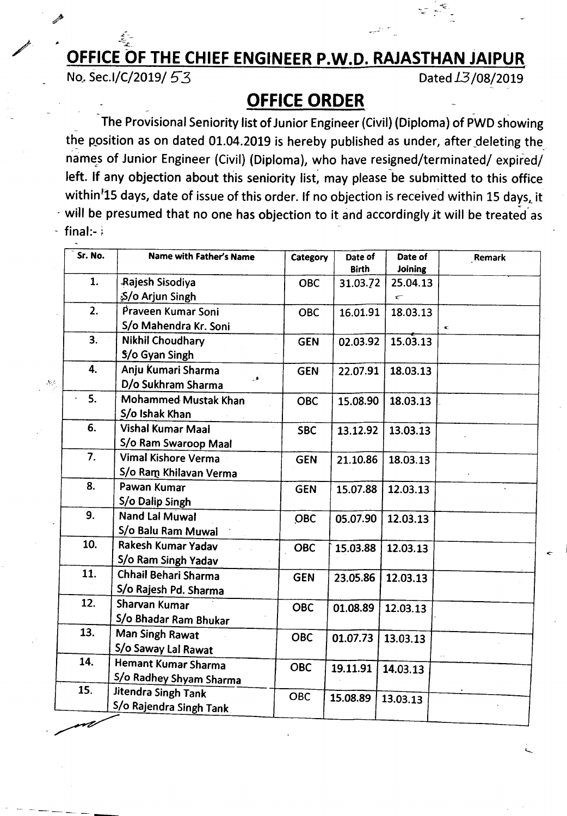## /' **OFFICE OF THE CHIEF ENGINEER P.W.D. RAJASTHAN jAIPUR**

No. Sec.I/C/2019/ 53 Dated 13/08/2019

 $\mathcal{S}_{\mathcal{C}}$ 

--

oc- I

## **OFFICE ORDER** \_ .

The Provisional Seniority list of Junior Engineer (Civil) (Diploma) of PWD showing the position as on dated 01.04.2019 is hereby published as under, after deleting the names of Junior Engineer (Civil) (Diploma), who have resigned/terminated/ expired/ left. If any objection about this seniority list, may please be submitted to this office within<sup>F</sup>15 days, date of issue of this order. If no objection is received within 15 days, it  $-$  will be presumed that no one has objection to it and accordingly it will be treated as  $final:-$ 

| Sr. No.       | Name with Father's Name  | Category   | Date of<br><b>Birth</b> | Date of<br>Joining | Remark |
|---------------|--------------------------|------------|-------------------------|--------------------|--------|
| 1.            | Rajesh Sisodiya          | <b>OBC</b> | 31.03.72                | 25.04.13           |        |
|               | ≸∕o Arjun Singh          |            |                         | $\subset$          |        |
| 2.            | Praveen Kumar Soni       | <b>OBC</b> | 16.01.91                | 18.03.13           |        |
|               | S/o Mahendra Kr. Soni    |            |                         |                    | $\leq$ |
| 3.            | <b>Nikhil Choudhary</b>  | <b>GEN</b> | 02.03.92                | 15.03.13           |        |
|               | \$/o Gyan Singh          |            |                         |                    |        |
| 4.            | Anju Kumari Sharma       | <b>GEN</b> | 22.07.91                | 18.03.13           |        |
|               | D/o Sukhram Sharma       |            |                         |                    |        |
| 5.<br>$\cdot$ | Mohammed Mustak Khan     | <b>OBC</b> | 15.08.90                | 18.03.13           |        |
|               | S/o Ishak Khan           |            |                         |                    |        |
| 6.            | <b>Vishal Kumar Maal</b> | <b>SBC</b> | 13.12.92                | 13.03.13           |        |
|               | S/o Ram Swaroop Maal     |            |                         |                    |        |
| 7.            | Vimal Kishore Verma      | <b>GEN</b> | 21.10.86                | 18.03.13           |        |
|               | S/o Ram Khilavan Verma   |            |                         |                    |        |
| 8.            | Pawan Kumar              | <b>GEN</b> | 15.07.88                | 12.03.13           |        |
|               | S/o Dalip Singh          |            |                         |                    |        |
| 9.            | <b>Nand Lal Muwal</b>    | OBC        | 05.07.90                | 12.03.13           |        |
|               | S/o Balu Ram Muwal       |            |                         |                    |        |
| 10.           | Rakesh Kumar Yadav       | <b>OBC</b> | 15.03.88                | 12.03.13           |        |
|               | S/o Ram Singh Yadav      |            |                         |                    |        |
| 11.           | Chhail Behari Sharma     | <b>GEN</b> | 23.05.86                | 12.03.13           |        |
|               | S/o Rajesh Pd. Sharma    |            |                         |                    |        |
| 12.           | Sharvan Kumar            | <b>OBC</b> | 01.08.89                | 12.03.13           |        |
|               | S/o Bhadar Ram Bhukar    |            |                         |                    |        |
| 13.           | Man Singh Rawat          | <b>OBC</b> | 01.07.73                | 13.03.13           |        |
|               | S/o Saway Lal Rawat      |            |                         |                    |        |
| 14.           | Hemant Kumar Sharma      | <b>OBC</b> | 19.11.91                | 14.03.13           |        |
|               | S/o Radhey Shyam Sharma  |            |                         |                    |        |
| 15.           | Jitendra Singh Tank      | <b>OBC</b> | 15.08.89                |                    |        |
|               | S/o Rajendra Singh Tank  |            |                         | 13.03.13           |        |
|               |                          |            |                         |                    |        |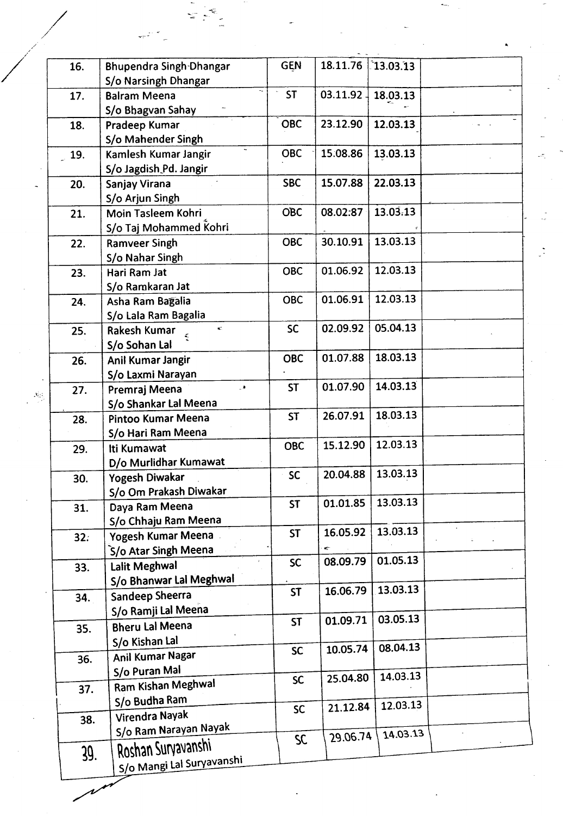| 16.  | <b>Bhupendra Singh-Dhangar</b> | <b>GEN</b> | 18.11.76  | 13.03.13 |  |
|------|--------------------------------|------------|-----------|----------|--|
|      | S/o Narsingh Dhangar           |            |           |          |  |
| 17.  | <b>Balram Meena</b>            | <b>ST</b>  | 03.11.92. | 18.03.13 |  |
|      | S/o Bhagvan Sahay              |            |           |          |  |
| 18.  | Pradeep Kumar                  | <b>OBC</b> | 23.12.90  | 12.03.13 |  |
|      | S/o Mahender Singh             |            |           |          |  |
| 19.  | Kamlesh Kumar Jangir           | <b>OBC</b> | 15.08.86  | 13.03.13 |  |
|      | S/o Jagdish Pd. Jangir         |            |           |          |  |
| 20.  | Sanjay Virana                  | <b>SBC</b> | 15.07.88  | 22.03.13 |  |
|      | S/o Arjun Singh                |            |           |          |  |
|      |                                | <b>OBC</b> | 08.02:87  | 13.03:13 |  |
| 21.  | Moin Tasleem Kohri             |            |           |          |  |
|      | S/o Taj Mohammed Kohri         |            |           |          |  |
| 22.  | <b>Ramveer Singh</b>           | <b>OBC</b> | 30.10.91  | 13.03.13 |  |
|      | S/o Nahar Singh                |            |           |          |  |
| 23.  | Hari Ram Jat                   | <b>OBC</b> | 01.06.92  | 12.03.13 |  |
|      | S/o Ramkaran Jat               |            |           |          |  |
| 24.  | Asha Ram Bagalia               | <b>OBC</b> | 01.06.91  | 12.03.13 |  |
|      | S/o Lala Ram Bagalia           |            |           |          |  |
| 25.  | $\leq$<br>Rakesh Kumar         | <b>SC</b>  | 02.09.92  | 05.04.13 |  |
|      | S/o Sohan Lal                  |            |           |          |  |
| 26.  | Anil Kumar Jangir              | <b>OBC</b> | 01.07.88  | 18.03.13 |  |
|      | S/o Laxmi Narayan              |            |           |          |  |
|      | $\cdot$                        | <b>ST</b>  | 01.07.90  | 14.03.13 |  |
| 27.  | Premraj Meena                  |            |           |          |  |
|      | S/o Shankar Lal Meena          | <b>ST</b>  | 26.07.91  | 18.03.13 |  |
| 28.  | Pintoo Kumar Meena             |            |           |          |  |
|      | S/o Hari Ram Meena             |            |           |          |  |
| 29.  | Iti Kumawat                    | <b>OBC</b> | 15.12.90  | 12.03.13 |  |
|      | D/o Murlidhar Kumawat          |            |           |          |  |
| 30.  | Yogesh Diwakar                 | <b>SC</b>  | 20.04.88  | 13.03.13 |  |
|      | S/o Om Prakash Diwakar         |            |           |          |  |
| 31.  | Daya Ram Meena                 | <b>ST</b>  | 01.01.85  | 13.03.13 |  |
|      | S/o Chhaju Ram Meena           |            |           |          |  |
|      | Yogesh Kumar Meena             | <b>ST</b>  | 16.05.92  | 13.03.13 |  |
| 32.5 | S/o Atar Singh Meena           |            | ¢         |          |  |
|      |                                | <b>SC</b>  | 08.09.79  | 01.05.13 |  |
| 33.  | Lalit Meghwal                  |            |           |          |  |
|      | S/o Bhanwar Lal Meghwal        | <b>ST</b>  | 16.06.79  | 13.03.13 |  |
| 34.  | Sandeep Sheerra                |            |           |          |  |
|      | S/o Ramji Lal Meena            |            |           | 03.05.13 |  |
| 35.  | <b>Bheru Lal Meena</b>         | <b>ST</b>  | 01.09.71  |          |  |
|      | S/o Kishan Lal                 |            |           |          |  |
| 36.  | Anil Kumar Nagar               | <b>SC</b>  | 10.05.74  | 08.04.13 |  |
|      | S/o Puran Mal                  |            |           |          |  |
|      | Ram Kishan Meghwal             | <b>SC</b>  | 25.04.80  | 14.03.13 |  |
| 37.  |                                |            |           |          |  |
|      | S/o Budha Ram                  | <b>SC</b>  | 21.12.84  | 12.03.13 |  |
| 38.  | Virendra Nayak                 |            |           |          |  |
|      | S/o Ram Narayan Nayak          | SC         | 29.06.74  | 14.03.13 |  |
| 39.  | Roshan Survavanshi             |            |           |          |  |
|      | S/o Mangi Lal Suryavanshi      |            |           |          |  |

/

 $\mathcal{N}_{\mathcal{C}}$ 

~

 $\overline{\phantom{a}}$ ~